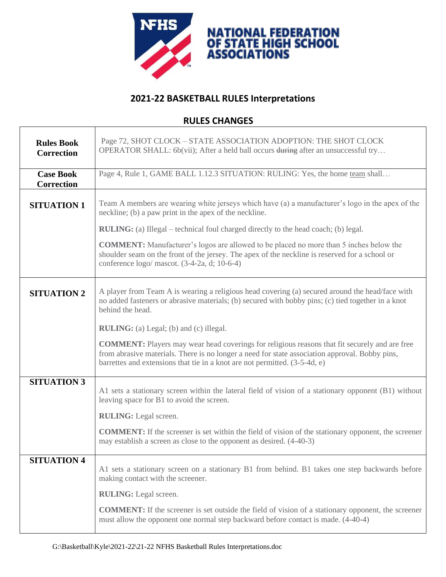

٦

## **2021-22 BASKETBALL RULES Interpretations**

## **RULES CHANGES**

 $\lceil$ 

| <b>Rules Book</b><br><b>Correction</b> | Page 72, SHOT CLOCK – STATE ASSOCIATION ADOPTION: THE SHOT CLOCK<br>OPERATOR SHALL: 6b(vii); After a held ball occurs during after an unsuccessful try                                                                                                                               |
|----------------------------------------|--------------------------------------------------------------------------------------------------------------------------------------------------------------------------------------------------------------------------------------------------------------------------------------|
| <b>Case Book</b><br><b>Correction</b>  | Page 4, Rule 1, GAME BALL 1.12.3 SITUATION: RULING: Yes, the home team shall                                                                                                                                                                                                         |
| <b>SITUATION 1</b>                     | Team A members are wearing white jerseys which have (a) a manufacturer's logo in the apex of the<br>neckline; (b) a paw print in the apex of the neckline.                                                                                                                           |
|                                        | <b>RULING:</b> (a) Illegal – technical foul charged directly to the head coach; (b) legal.                                                                                                                                                                                           |
|                                        | <b>COMMENT:</b> Manufacturer's logos are allowed to be placed no more than 5 inches below the<br>shoulder seam on the front of the jersey. The apex of the neckline is reserved for a school or<br>conference $logo/mascot.$ (3-4-2a, d; 10-6-4)                                     |
| <b>SITUATION 2</b>                     | A player from Team A is wearing a religious head covering (a) secured around the head/face with<br>no added fasteners or abrasive materials; (b) secured with bobby pins; (c) tied together in a knot<br>behind the head.                                                            |
|                                        | <b>RULING:</b> (a) Legal; (b) and (c) illegal.                                                                                                                                                                                                                                       |
|                                        | <b>COMMENT:</b> Players may wear head coverings for religious reasons that fit securely and are free<br>from abrasive materials. There is no longer a need for state association approval. Bobby pins,<br>barrettes and extensions that tie in a knot are not permitted. (3-5-4d, e) |
| <b>SITUATION 3</b>                     | A1 sets a stationary screen within the lateral field of vision of a stationary opponent (B1) without<br>leaving space for B1 to avoid the screen.                                                                                                                                    |
|                                        | <b>RULING:</b> Legal screen.                                                                                                                                                                                                                                                         |
|                                        | <b>COMMENT:</b> If the screener is set within the field of vision of the stationary opponent, the screener<br>may establish a screen as close to the opponent as desired. (4-40-3)                                                                                                   |
| <b>SITUATION 4</b>                     | A1 sets a stationary screen on a stationary B1 from behind. B1 takes one step backwards before<br>making contact with the screener.                                                                                                                                                  |
|                                        | <b>RULING:</b> Legal screen.                                                                                                                                                                                                                                                         |
|                                        | <b>COMMENT:</b> If the screener is set outside the field of vision of a stationary opponent, the screener<br>must allow the opponent one normal step backward before contact is made. (4-40-4)                                                                                       |